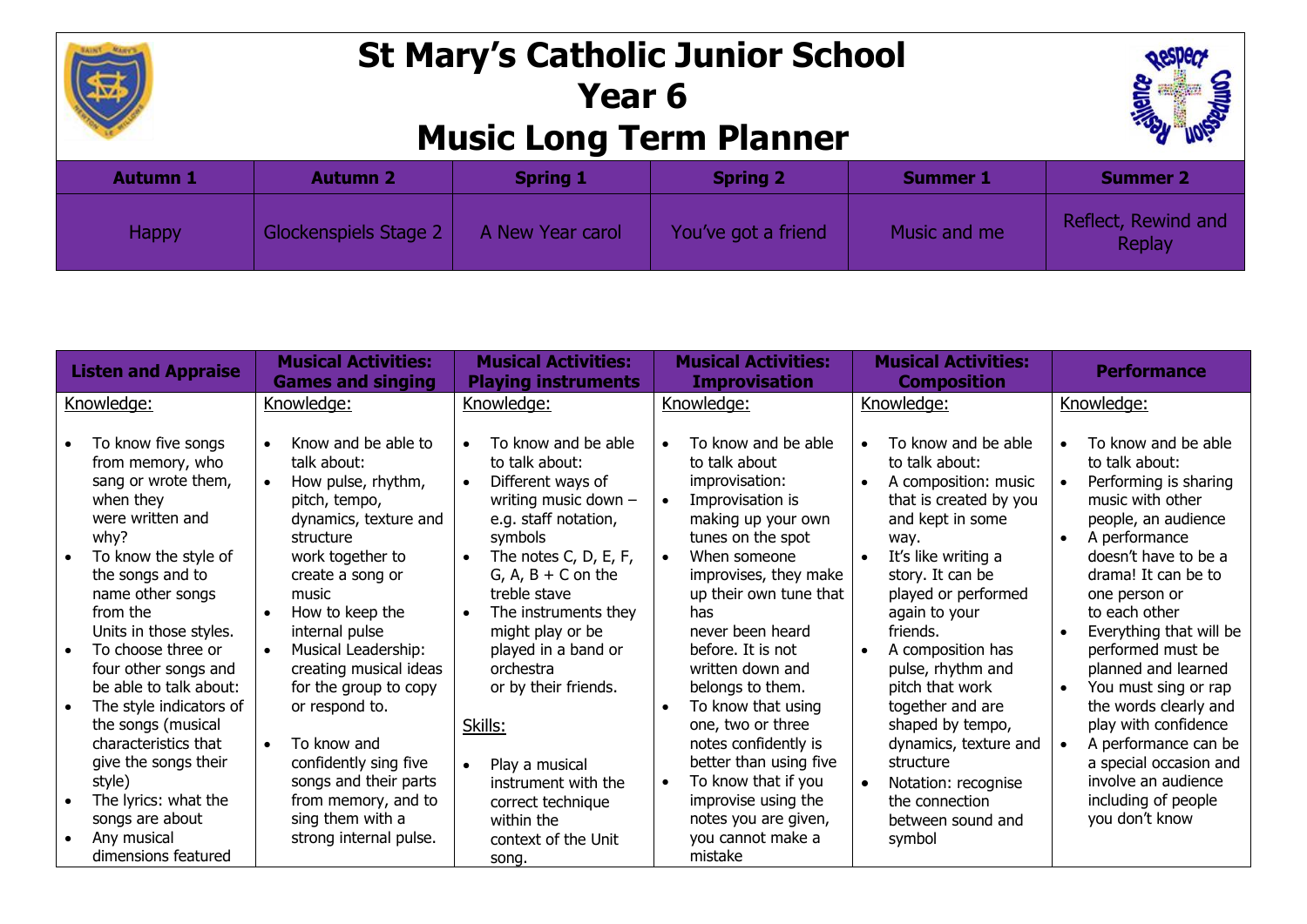

## **St Mary's Catholic Junior School Year 6 Music Long Term Planner**



| <b>Autumn 1</b> | <b>Autumn 2</b>       | <b>Spring 1</b>  | <b>Spring 2</b>     | <b>Summer 1</b> | <b>Summer 2</b>                      |  |  |
|-----------------|-----------------------|------------------|---------------------|-----------------|--------------------------------------|--|--|
| Happy           | Glockenspiels Stage 2 | A New Year carol | You've got a friend | Music and me    | Reflect, Rewind and<br><b>Replay</b> |  |  |

| <b>Listen and Appraise</b>                                                                                                                                                                                                                                                                                                                                                                                                                                                          | <b>Musical Activities:</b><br><b>Games and singing</b>                                                                                                                                                                                                                                                                                                                                                                                  | <b>Musical Activities:</b><br><b>Playing instruments</b>                                                                                                                                                                                                                                                                                                                                                                               | <b>Musical Activities:</b><br><b>Improvisation</b>                                                                                                                                                                                                                                                                                                                                                                                                                                                 | <b>Musical Activities:</b><br><b>Composition</b>                                                                                                                                                                                                                                                                                                                                                                                                                                                       | <b>Performance</b>                                                                                                                                                                                                                                                                                                                                                                                                                                                            |
|-------------------------------------------------------------------------------------------------------------------------------------------------------------------------------------------------------------------------------------------------------------------------------------------------------------------------------------------------------------------------------------------------------------------------------------------------------------------------------------|-----------------------------------------------------------------------------------------------------------------------------------------------------------------------------------------------------------------------------------------------------------------------------------------------------------------------------------------------------------------------------------------------------------------------------------------|----------------------------------------------------------------------------------------------------------------------------------------------------------------------------------------------------------------------------------------------------------------------------------------------------------------------------------------------------------------------------------------------------------------------------------------|----------------------------------------------------------------------------------------------------------------------------------------------------------------------------------------------------------------------------------------------------------------------------------------------------------------------------------------------------------------------------------------------------------------------------------------------------------------------------------------------------|--------------------------------------------------------------------------------------------------------------------------------------------------------------------------------------------------------------------------------------------------------------------------------------------------------------------------------------------------------------------------------------------------------------------------------------------------------------------------------------------------------|-------------------------------------------------------------------------------------------------------------------------------------------------------------------------------------------------------------------------------------------------------------------------------------------------------------------------------------------------------------------------------------------------------------------------------------------------------------------------------|
| Knowledge:                                                                                                                                                                                                                                                                                                                                                                                                                                                                          | Knowledge:                                                                                                                                                                                                                                                                                                                                                                                                                              | Knowledge:                                                                                                                                                                                                                                                                                                                                                                                                                             | Knowledge:                                                                                                                                                                                                                                                                                                                                                                                                                                                                                         | Knowledge:                                                                                                                                                                                                                                                                                                                                                                                                                                                                                             | Knowledge:                                                                                                                                                                                                                                                                                                                                                                                                                                                                    |
| To know five songs<br>from memory, who<br>sang or wrote them,<br>when they<br>were written and<br>why?<br>To know the style of<br>the songs and to<br>name other songs<br>from the<br>Units in those styles.<br>To choose three or<br>$\bullet$<br>four other songs and<br>be able to talk about:<br>The style indicators of<br>the songs (musical<br>characteristics that<br>$\bullet$<br>give the songs their<br>style)<br>The lyrics: what the<br>songs are about<br>Any musical | Know and be able to<br>talk about:<br>How pulse, rhythm,<br>pitch, tempo,<br>dynamics, texture and<br>structure<br>work together to<br>create a song or<br>music<br>How to keep the<br>internal pulse<br>Musical Leadership:<br>creating musical ideas<br>for the group to copy<br>or respond to.<br>To know and<br>confidently sing five<br>songs and their parts<br>from memory, and to<br>sing them with a<br>strong internal pulse. | To know and be able<br>$\bullet$<br>to talk about:<br>Different ways of<br>writing music down -<br>e.g. staff notation,<br>symbols<br>The notes C, D, E, F,<br>$G, A, B + C$ on the<br>treble stave<br>The instruments they<br>might play or be<br>played in a band or<br>orchestra<br>or by their friends.<br>Skills:<br>Play a musical<br>$\bullet$<br>instrument with the<br>correct technique<br>within the<br>context of the Unit | To know and be able<br>to talk about<br>improvisation:<br>Improvisation is<br>$\bullet$<br>making up your own<br>tunes on the spot<br>When someone<br>$\bullet$<br>improvises, they make<br>up their own tune that<br>has<br>never been heard<br>before. It is not<br>written down and<br>belongs to them.<br>To know that using<br>one, two or three<br>notes confidently is<br>better than using five<br>To know that if you<br>improvise using the<br>notes you are given,<br>you cannot make a | To know and be able<br>$\bullet$<br>to talk about:<br>A composition: music<br>$\bullet$<br>that is created by you<br>and kept in some<br>way.<br>It's like writing a<br>$\bullet$<br>story. It can be<br>played or performed<br>again to your<br>friends.<br>A composition has<br>$\bullet$<br>pulse, rhythm and<br>pitch that work<br>together and are<br>shaped by tempo,<br>dynamics, texture and<br>structure<br>Notation: recognise<br>$\bullet$<br>the connection<br>between sound and<br>symbol | To know and be able<br>to talk about:<br>Performing is sharing<br>music with other<br>people, an audience<br>A performance<br>doesn't have to be a<br>drama! It can be to<br>one person or<br>to each other<br>Everything that will be<br>performed must be<br>planned and learned<br>You must sing or rap<br>the words clearly and<br>play with confidence<br>A performance can be<br>a special occasion and<br>involve an audience<br>including of people<br>you don't know |
| dimensions featured                                                                                                                                                                                                                                                                                                                                                                                                                                                                 |                                                                                                                                                                                                                                                                                                                                                                                                                                         | song.                                                                                                                                                                                                                                                                                                                                                                                                                                  | mistake                                                                                                                                                                                                                                                                                                                                                                                                                                                                                            |                                                                                                                                                                                                                                                                                                                                                                                                                                                                                                        |                                                                                                                                                                                                                                                                                                                                                                                                                                                                               |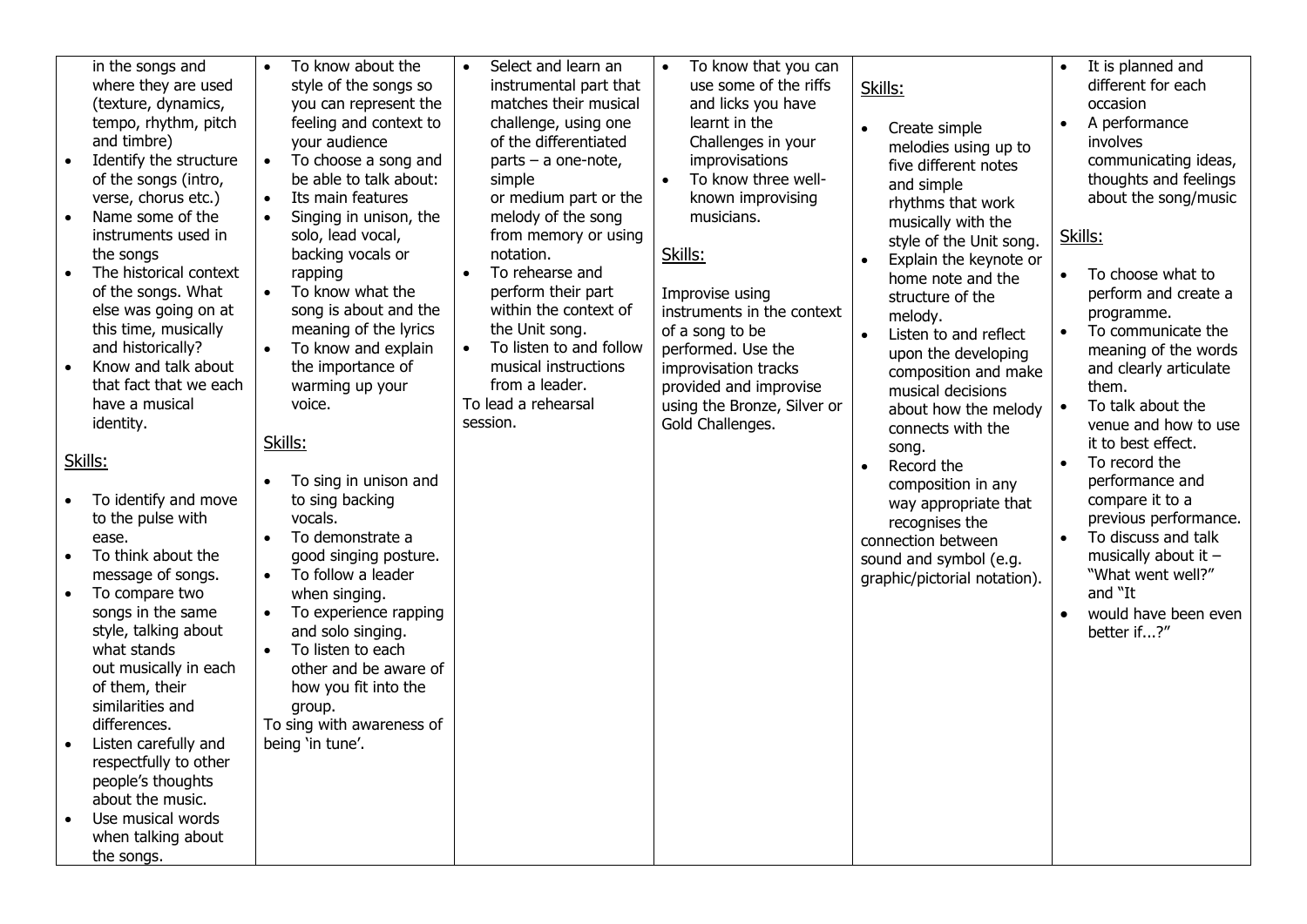|                                   |                                                                                                                                                                                                                                                                                                                                                                                                                                                                                                                                                                                                                                                                                                                                                                                                                                                              |                                                                                                                   | To know about the                                                                                                                                                                                                                                                                                                                                                                                                                                                                                                                                                                                                                                                                                                                   | Select and learn an                                                                                                                                                                                                                                                                                                                                                                                                 |           |                                                                                                                                                                                                                                                                                                                                                                                                  |                        |                                                                                                                                                                                                                                                                                                                                                                                                                                                                                                                                                             |                        |                                                                                                                                                                                                                                                                                                                                                                                                                                                                                                                                                                                             |
|-----------------------------------|--------------------------------------------------------------------------------------------------------------------------------------------------------------------------------------------------------------------------------------------------------------------------------------------------------------------------------------------------------------------------------------------------------------------------------------------------------------------------------------------------------------------------------------------------------------------------------------------------------------------------------------------------------------------------------------------------------------------------------------------------------------------------------------------------------------------------------------------------------------|-------------------------------------------------------------------------------------------------------------------|-------------------------------------------------------------------------------------------------------------------------------------------------------------------------------------------------------------------------------------------------------------------------------------------------------------------------------------------------------------------------------------------------------------------------------------------------------------------------------------------------------------------------------------------------------------------------------------------------------------------------------------------------------------------------------------------------------------------------------------|---------------------------------------------------------------------------------------------------------------------------------------------------------------------------------------------------------------------------------------------------------------------------------------------------------------------------------------------------------------------------------------------------------------------|-----------|--------------------------------------------------------------------------------------------------------------------------------------------------------------------------------------------------------------------------------------------------------------------------------------------------------------------------------------------------------------------------------------------------|------------------------|-------------------------------------------------------------------------------------------------------------------------------------------------------------------------------------------------------------------------------------------------------------------------------------------------------------------------------------------------------------------------------------------------------------------------------------------------------------------------------------------------------------------------------------------------------------|------------------------|---------------------------------------------------------------------------------------------------------------------------------------------------------------------------------------------------------------------------------------------------------------------------------------------------------------------------------------------------------------------------------------------------------------------------------------------------------------------------------------------------------------------------------------------------------------------------------------------|
| Skills:<br>$\bullet$<br>$\bullet$ | in the songs and<br>where they are used<br>(texture, dynamics,<br>tempo, rhythm, pitch<br>and timbre)<br>Identify the structure<br>of the songs (intro,<br>verse, chorus etc.)<br>Name some of the<br>instruments used in<br>the songs<br>The historical context<br>of the songs. What<br>else was going on at<br>this time, musically<br>and historically?<br>Know and talk about<br>that fact that we each<br>have a musical<br>identity.<br>To identify and move<br>to the pulse with<br>ease.<br>To think about the<br>message of songs.<br>To compare two<br>songs in the same<br>style, talking about<br>what stands<br>out musically in each<br>of them, their<br>similarities and<br>differences.<br>Listen carefully and<br>respectfully to other<br>people's thoughts<br>about the music.<br>Use musical words<br>when talking about<br>the songs. | $\bullet$<br>$\bullet$<br>$\bullet$<br>$\bullet$<br>$\bullet$<br>$\bullet$<br>$\bullet$<br>$\bullet$<br>$\bullet$ | style of the songs so<br>you can represent the<br>feeling and context to<br>your audience<br>To choose a song and<br>be able to talk about:<br>Its main features<br>Singing in unison, the<br>solo, lead vocal,<br>backing vocals or<br>rapping<br>To know what the<br>song is about and the<br>meaning of the lyrics<br>To know and explain<br>the importance of<br>warming up your<br>voice.<br>Skills:<br>To sing in unison and<br>to sing backing<br>vocals.<br>To demonstrate a<br>good singing posture.<br>To follow a leader<br>when singing.<br>To experience rapping<br>and solo singing.<br>To listen to each<br>other and be aware of<br>how you fit into the<br>group.<br>To sing with awareness of<br>being 'in tune'. | instrumental part that<br>matches their musical<br>challenge, using one<br>of the differentiated<br>$parts - a one note,$<br>simple<br>or medium part or the<br>melody of the song<br>from memory or using<br>notation.<br>To rehearse and<br>perform their part<br>within the context of<br>the Unit song.<br>To listen to and follow<br>musical instructions<br>from a leader.<br>To lead a rehearsal<br>session. | $\bullet$ | To know that you can<br>use some of the riffs<br>and licks you have<br>learnt in the<br>Challenges in your<br>improvisations<br>To know three well-<br>known improvising<br>musicians.<br>Skills:<br>Improvise using<br>instruments in the context<br>of a song to be<br>performed. Use the<br>improvisation tracks<br>provided and improvise<br>using the Bronze, Silver or<br>Gold Challenges. | $\bullet$<br>$\bullet$ | Skills:<br>Create simple<br>melodies using up to<br>five different notes<br>and simple<br>rhythms that work<br>musically with the<br>style of the Unit song.<br>Explain the keynote or<br>home note and the<br>structure of the<br>melody.<br>Listen to and reflect<br>upon the developing<br>composition and make<br>musical decisions<br>about how the melody<br>connects with the<br>song.<br>Record the<br>composition in any<br>way appropriate that<br>recognises the<br>connection between<br>sound and symbol (e.g.<br>graphic/pictorial notation). | $\bullet$<br>$\bullet$ | It is planned and<br>different for each<br>occasion<br>A performance<br>involves<br>communicating ideas,<br>thoughts and feelings<br>about the song/music<br>Skills:<br>To choose what to<br>perform and create a<br>programme.<br>To communicate the<br>meaning of the words<br>and clearly articulate<br>them.<br>To talk about the<br>venue and how to use<br>it to best effect.<br>To record the<br>performance and<br>compare it to a<br>previous performance.<br>To discuss and talk<br>musically about it $-$<br>"What went well?"<br>and "It<br>would have been even<br>better if?" |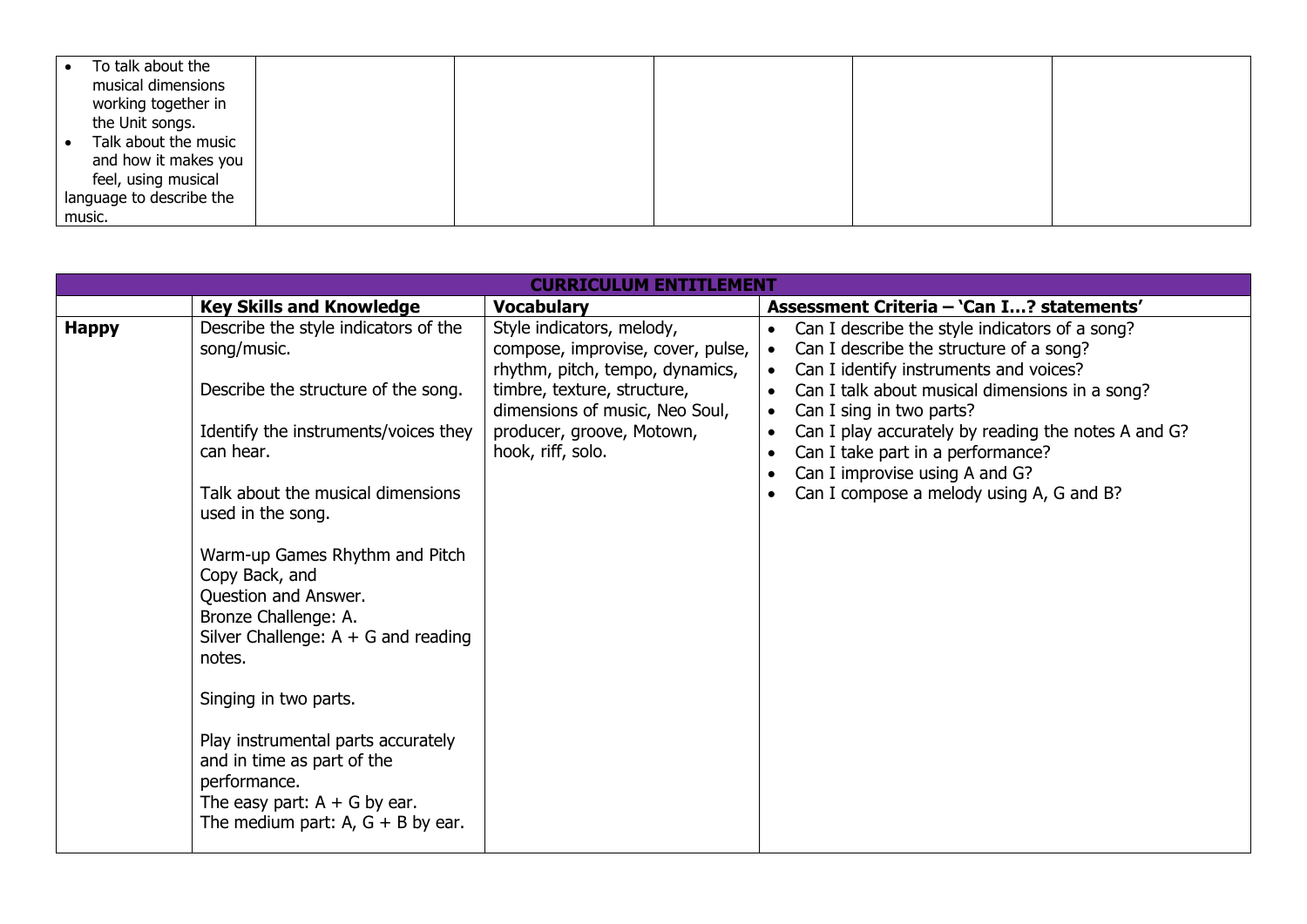| To talk about the        |  |  |  |
|--------------------------|--|--|--|
| musical dimensions       |  |  |  |
| working together in      |  |  |  |
| the Unit songs.          |  |  |  |
| Talk about the music     |  |  |  |
| and how it makes you     |  |  |  |
| feel, using musical      |  |  |  |
| language to describe the |  |  |  |
| music.                   |  |  |  |

|              |                                                                                                                                                           | <b>CURRICULUM ENTITLEMENT</b>                                                                     |                                                                                                                                                  |
|--------------|-----------------------------------------------------------------------------------------------------------------------------------------------------------|---------------------------------------------------------------------------------------------------|--------------------------------------------------------------------------------------------------------------------------------------------------|
|              | <b>Key Skills and Knowledge</b>                                                                                                                           | <b>Vocabulary</b>                                                                                 | Assessment Criteria - 'Can I? statements'                                                                                                        |
| <b>Happy</b> | Describe the style indicators of the<br>song/music.                                                                                                       | Style indicators, melody,<br>compose, improvise, cover, pulse,<br>rhythm, pitch, tempo, dynamics, | Can I describe the style indicators of a song?<br>Can I describe the structure of a song?<br>Can I identify instruments and voices?<br>$\bullet$ |
|              | Describe the structure of the song.                                                                                                                       | timbre, texture, structure,<br>dimensions of music, Neo Soul,                                     | Can I talk about musical dimensions in a song?<br>$\bullet$<br>Can I sing in two parts?<br>$\bullet$                                             |
|              | Identify the instruments/voices they<br>can hear.                                                                                                         | producer, groove, Motown,<br>hook, riff, solo.                                                    | Can I play accurately by reading the notes A and G?<br>$\bullet$<br>Can I take part in a performance?<br>Can I improvise using A and G?          |
|              | Talk about the musical dimensions<br>used in the song.                                                                                                    |                                                                                                   | Can I compose a melody using A, G and B?                                                                                                         |
|              | Warm-up Games Rhythm and Pitch<br>Copy Back, and<br>Question and Answer.<br>Bronze Challenge: A.<br>Silver Challenge: $A + G$ and reading<br>notes.       |                                                                                                   |                                                                                                                                                  |
|              | Singing in two parts.                                                                                                                                     |                                                                                                   |                                                                                                                                                  |
|              | Play instrumental parts accurately<br>and in time as part of the<br>performance.<br>The easy part: $A + G$ by ear.<br>The medium part: $A, G + B$ by ear. |                                                                                                   |                                                                                                                                                  |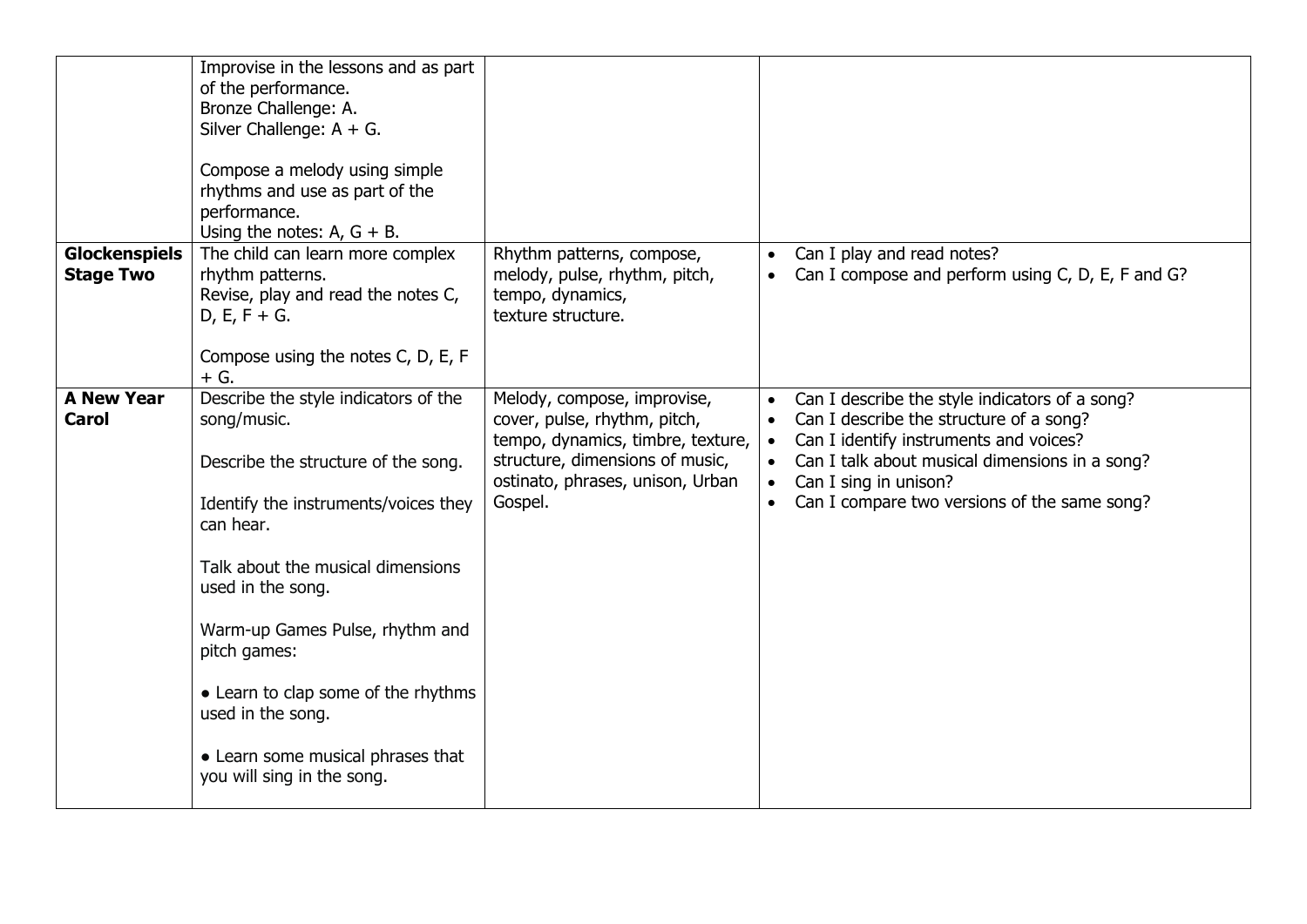|                                          | Improvise in the lessons and as part<br>of the performance.<br>Bronze Challenge: A.<br>Silver Challenge: $A + G$ .<br>Compose a melody using simple<br>rhythms and use as part of the<br>performance.<br>Using the notes: $A$ , $G + B$ .                                                                                                                                                   |                                                                                                                                                                                    |                                                  |                                                                                                                                                                                                                                                                |
|------------------------------------------|---------------------------------------------------------------------------------------------------------------------------------------------------------------------------------------------------------------------------------------------------------------------------------------------------------------------------------------------------------------------------------------------|------------------------------------------------------------------------------------------------------------------------------------------------------------------------------------|--------------------------------------------------|----------------------------------------------------------------------------------------------------------------------------------------------------------------------------------------------------------------------------------------------------------------|
| <b>Glockenspiels</b><br><b>Stage Two</b> | The child can learn more complex<br>rhythm patterns.<br>Revise, play and read the notes C,<br>$D, E, F + G.$<br>Compose using the notes C, D, E, F<br>$+$ G.                                                                                                                                                                                                                                | Rhythm patterns, compose,<br>melody, pulse, rhythm, pitch,<br>tempo, dynamics,<br>texture structure.                                                                               | $\bullet$<br>$\bullet$                           | Can I play and read notes?<br>Can I compose and perform using C, D, E, F and G?                                                                                                                                                                                |
| <b>A New Year</b><br><b>Carol</b>        | Describe the style indicators of the<br>song/music.<br>Describe the structure of the song.<br>Identify the instruments/voices they<br>can hear.<br>Talk about the musical dimensions<br>used in the song.<br>Warm-up Games Pulse, rhythm and<br>pitch games:<br>• Learn to clap some of the rhythms<br>used in the song.<br>• Learn some musical phrases that<br>you will sing in the song. | Melody, compose, improvise,<br>cover, pulse, rhythm, pitch,<br>tempo, dynamics, timbre, texture,<br>structure, dimensions of music,<br>ostinato, phrases, unison, Urban<br>Gospel. | $\bullet$<br>$\bullet$<br>$\bullet$<br>$\bullet$ | Can I describe the style indicators of a song?<br>Can I describe the structure of a song?<br>Can I identify instruments and voices?<br>Can I talk about musical dimensions in a song?<br>Can I sing in unison?<br>Can I compare two versions of the same song? |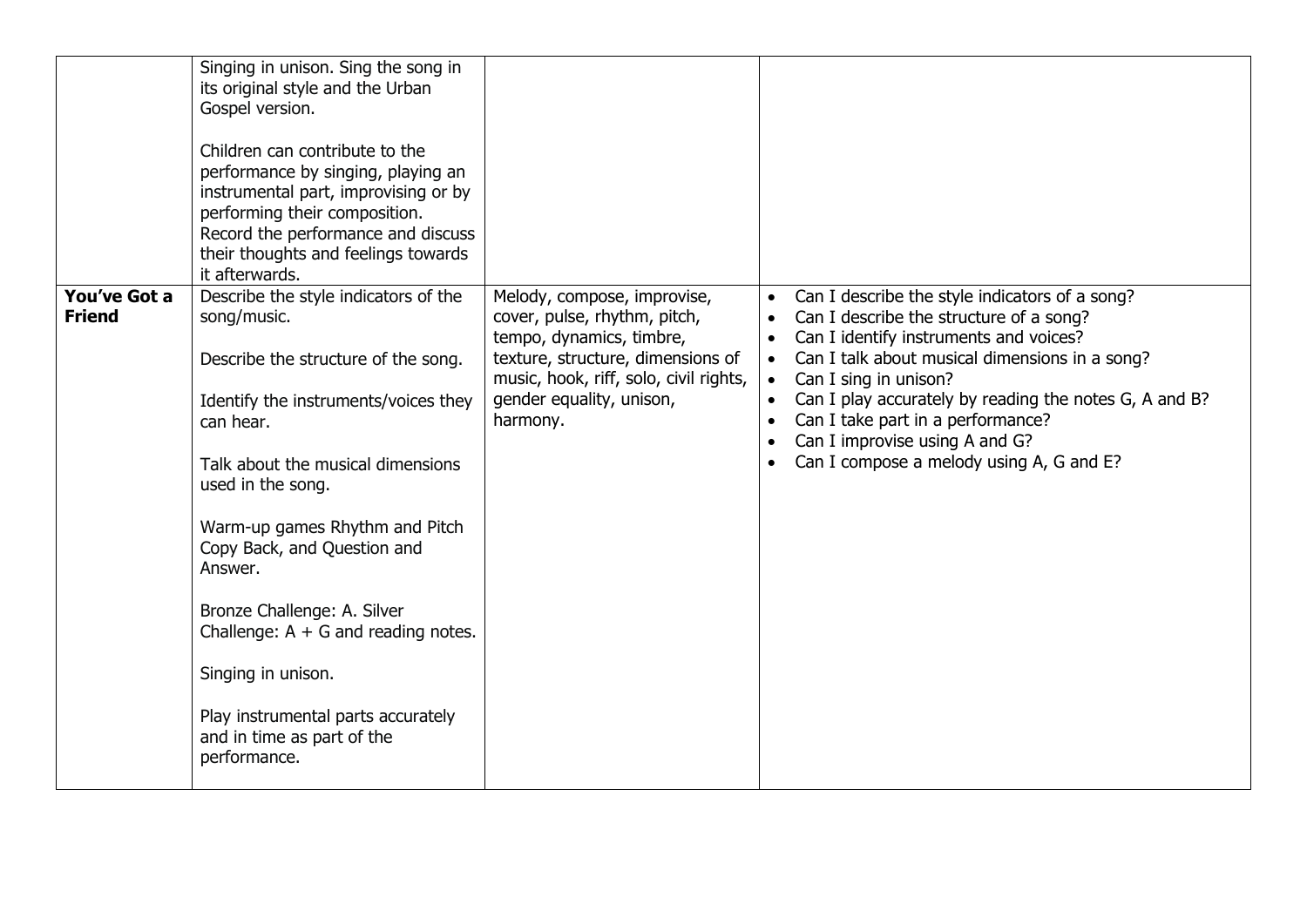|                               | Singing in unison. Sing the song in<br>its original style and the Urban<br>Gospel version.<br>Children can contribute to the<br>performance by singing, playing an<br>instrumental part, improvising or by<br>performing their composition.<br>Record the performance and discuss<br>their thoughts and feelings towards<br>it afterwards.                                                                                                                              |                                                                                                                                                                                                                |                                                                                                                                                                                                                                                                                                                                                                                                          |
|-------------------------------|-------------------------------------------------------------------------------------------------------------------------------------------------------------------------------------------------------------------------------------------------------------------------------------------------------------------------------------------------------------------------------------------------------------------------------------------------------------------------|----------------------------------------------------------------------------------------------------------------------------------------------------------------------------------------------------------------|----------------------------------------------------------------------------------------------------------------------------------------------------------------------------------------------------------------------------------------------------------------------------------------------------------------------------------------------------------------------------------------------------------|
| You've Got a<br><b>Friend</b> | Describe the style indicators of the<br>song/music.<br>Describe the structure of the song.<br>Identify the instruments/voices they<br>can hear.<br>Talk about the musical dimensions<br>used in the song.<br>Warm-up games Rhythm and Pitch<br>Copy Back, and Question and<br>Answer.<br>Bronze Challenge: A. Silver<br>Challenge: $A + G$ and reading notes.<br>Singing in unison.<br>Play instrumental parts accurately<br>and in time as part of the<br>performance. | Melody, compose, improvise,<br>cover, pulse, rhythm, pitch,<br>tempo, dynamics, timbre,<br>texture, structure, dimensions of<br>music, hook, riff, solo, civil rights,<br>gender equality, unison,<br>harmony. | Can I describe the style indicators of a song?<br>$\bullet$<br>Can I describe the structure of a song?<br>Can I identify instruments and voices?<br>Can I talk about musical dimensions in a song?<br>Can I sing in unison?<br>Can I play accurately by reading the notes G, A and B?<br>Can I take part in a performance?<br>Can I improvise using A and G?<br>Can I compose a melody using A, G and E? |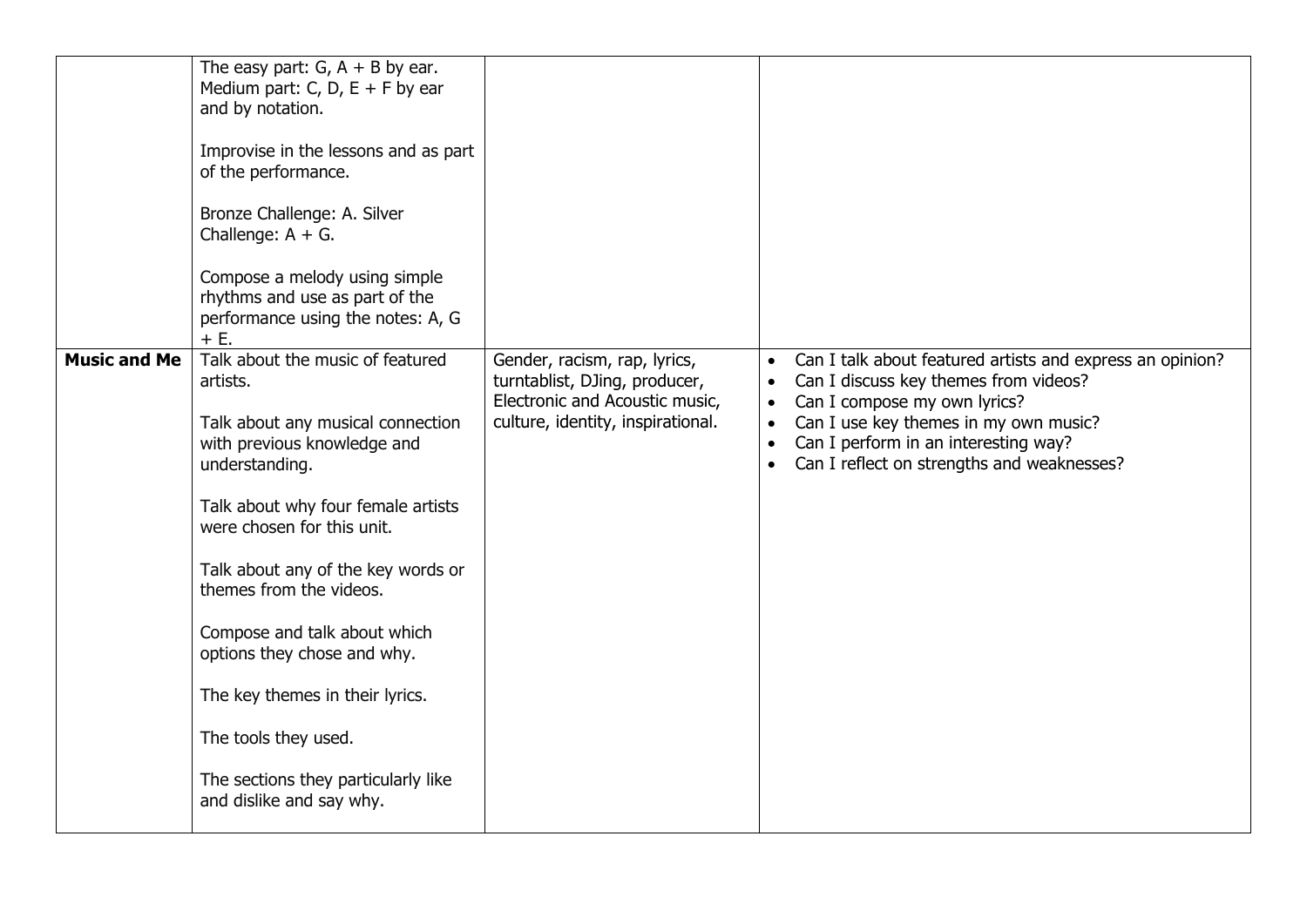|                     | The easy part: $G$ , $A + B$ by ear.<br>Medium part: C, D, $E + F$ by ear<br>and by notation.<br>Improvise in the lessons and as part<br>of the performance.<br>Bronze Challenge: A. Silver<br>Challenge: $A + G$ .<br>Compose a melody using simple<br>rhythms and use as part of the<br>performance using the notes: A, G<br>+ E.                                                                                                                                  |                                                                                                                                      |                                                                                                                                                                                                                                                                                |
|---------------------|----------------------------------------------------------------------------------------------------------------------------------------------------------------------------------------------------------------------------------------------------------------------------------------------------------------------------------------------------------------------------------------------------------------------------------------------------------------------|--------------------------------------------------------------------------------------------------------------------------------------|--------------------------------------------------------------------------------------------------------------------------------------------------------------------------------------------------------------------------------------------------------------------------------|
| <b>Music and Me</b> | Talk about the music of featured<br>artists.<br>Talk about any musical connection<br>with previous knowledge and<br>understanding.<br>Talk about why four female artists<br>were chosen for this unit.<br>Talk about any of the key words or<br>themes from the videos.<br>Compose and talk about which<br>options they chose and why.<br>The key themes in their lyrics.<br>The tools they used.<br>The sections they particularly like<br>and dislike and say why. | Gender, racism, rap, lyrics,<br>turntablist, DJing, producer,<br>Electronic and Acoustic music,<br>culture, identity, inspirational. | Can I talk about featured artists and express an opinion?<br>Can I discuss key themes from videos?<br>Can I compose my own lyrics?<br>Can I use key themes in my own music?<br>Can I perform in an interesting way?<br>Can I reflect on strengths and weaknesses?<br>$\bullet$ |